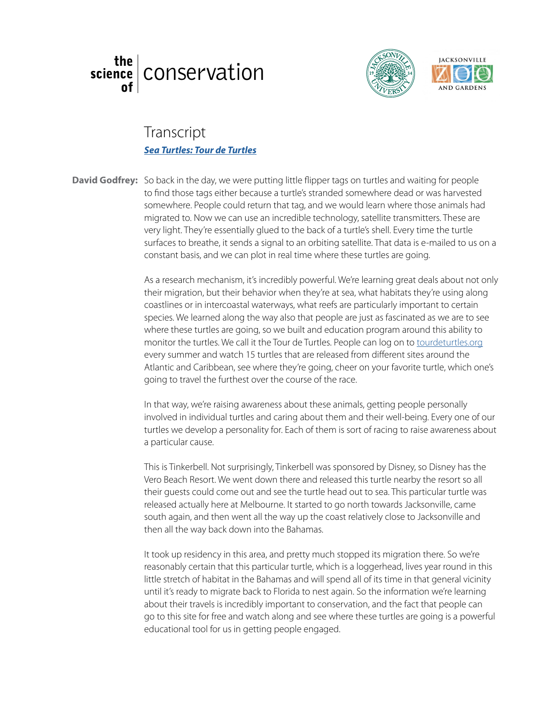





## l ranscript<br><u>Sea Turtles: Tour de Turtles</u> Transcript

David Godfrey: So back in the day, we were putting little flipper tags on turtles and waiting for people to find those tags either because a turtle's stranded somewhere dead or was harvested somewhere. People could return that tag, and we would learn where those animals had migrated to. Now we can use an incredible technology, satellite transmitters. These are migrated to. Now we can use an incredible technology, satellite transmitters. These are very light. They're essentially glued to the back of a turtle's shell. Every time the turtle surfaces to breathe, it sends a signal to an orbiting satellite. That data is e-mailed to us on a constant basis, and we can plot in real time where these turtles are going.

> As a research mechanism, it's incredibly powerful. We're learning great deals about not only their migration, but their behavior when they're at sea what babitats they're using along their migration, but their behavior when they're at sea, what habitats they're using along coastlines or in intercoastal waterways, what reefs are particularly important to certain species. We learned along the way also that people are just as fascinated as we are to see where these turtles are going, so we built and education program around this ability to monitor the turtles. We call it the Tour de Turtles. People can log on to [tourdeturtles.org](http://www.tourdeturtles.org/) every summer and watch 15 turtles that are released from different sites around the Atlantic and Caribbean, see where they're going, cheer on your favorite turtle, which one's going to travel the furthest over the course of the race.

> In that way, we're raising awareness about these animals, getting people personally involved in individual turtles and caring about them and their well-being. Every one of our turtles we develop a personality for. Each of them is sort of racing to raise awareness about a particular cause.

This is Tinkerbell. Not surprisingly, Tinkerbell was sponsored by Disney, so Disney has the Vero Beach Resort. We went down there and released this turtle nearby the resort so all their guests could come out and see the turtle head out to sea. This particular turtle was released actually here at Melbourne. It started to go north towards Jacksonville, came south again, and then went all the way up the coast relatively close to Jacksonville and then all the way back down into the Bahamas.

It took up residency in this area, and pretty much stopped its migration there. So we're reasonably certain that this particular turtle, which is a loggerhead, lives year round in this little stretch of habitat in the Bahamas and will spend all of its time in that general vicinity until it's ready to migrate back to Florida to nest again. So the information we're learning about their travels is incredibly important to conservation, and the fact that people can go to this site for free and watch along and see where these turtles are going is a powerful educational tool for us in getting people engaged.